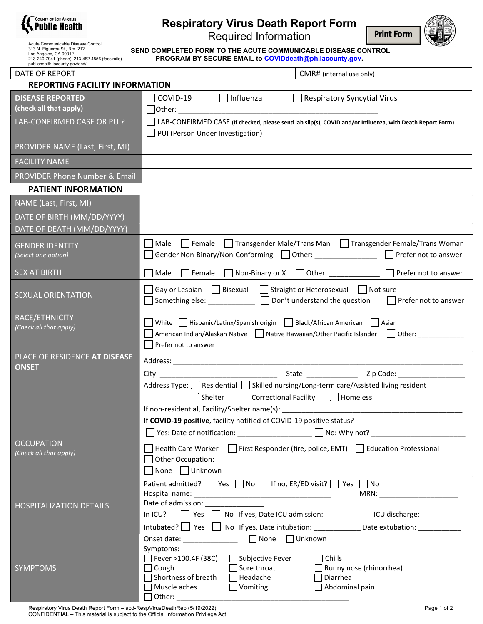

| <b>Respiratory Virus Death Report Form</b> |  |
|--------------------------------------------|--|
| <b>Required Information</b>                |  |



Acute Communicable Disease Control<br>313 N. Figueroa St., Rm. 212<br>Los Angeles, CA 90012<br>213-240-7941 (phone), 213-482-4856 (facsimile) publichealth.lacounty.gov/acd/

**SEND COMPLETED FORM TO THE ACUTE COMMUNICABLE DISEASE CONTROL PROGRAM BY SECURE EMAIL to COVIDdeath@ph.lacounty.gov.** 

| DATE OF REPORT                                    | CMR# (internal use only)                                                                                                                                                                                                                                                                                                                                                                                                                                                                                                                                                                                                                                                                       |
|---------------------------------------------------|------------------------------------------------------------------------------------------------------------------------------------------------------------------------------------------------------------------------------------------------------------------------------------------------------------------------------------------------------------------------------------------------------------------------------------------------------------------------------------------------------------------------------------------------------------------------------------------------------------------------------------------------------------------------------------------------|
| <b>REPORTING FACILITY INFORMATION</b>             |                                                                                                                                                                                                                                                                                                                                                                                                                                                                                                                                                                                                                                                                                                |
| <b>DISEASE REPORTED</b><br>(check all that apply) | COVID-19<br>Respiratory Syncytial Virus<br>Influenza<br>$]$ Other: $\_$                                                                                                                                                                                                                                                                                                                                                                                                                                                                                                                                                                                                                        |
| LAB-CONFIRMED CASE OR PUI?                        | LAB-CONFIRMED CASE (If checked, please send lab slip(s), COVID and/or Influenza, with Death Report Form)                                                                                                                                                                                                                                                                                                                                                                                                                                                                                                                                                                                       |
|                                                   | PUI (Person Under Investigation)                                                                                                                                                                                                                                                                                                                                                                                                                                                                                                                                                                                                                                                               |
| PROVIDER NAME (Last, First, MI)                   |                                                                                                                                                                                                                                                                                                                                                                                                                                                                                                                                                                                                                                                                                                |
| <b>FACILITY NAME</b>                              |                                                                                                                                                                                                                                                                                                                                                                                                                                                                                                                                                                                                                                                                                                |
| PROVIDER Phone Number & Email                     |                                                                                                                                                                                                                                                                                                                                                                                                                                                                                                                                                                                                                                                                                                |
| <b>PATIENT INFORMATION</b>                        |                                                                                                                                                                                                                                                                                                                                                                                                                                                                                                                                                                                                                                                                                                |
| NAME (Last, First, MI)                            |                                                                                                                                                                                                                                                                                                                                                                                                                                                                                                                                                                                                                                                                                                |
| DATE OF BIRTH (MM/DD/YYYY)                        |                                                                                                                                                                                                                                                                                                                                                                                                                                                                                                                                                                                                                                                                                                |
| DATE OF DEATH (MM/DD/YYYY)                        |                                                                                                                                                                                                                                                                                                                                                                                                                                                                                                                                                                                                                                                                                                |
| <b>GENDER IDENTITY</b><br>(Select one option)     | Male Female Transgender Male/Trans Man Transgender Female/Trans Woman<br>Gender Non-Binary/Non-Conforming 10ther: 10ther: 10ther: 20ther: 20ther 20ther 20ther 20ther 20ther 20ther 20t                                                                                                                                                                                                                                                                                                                                                                                                                                                                                                        |
| SEX AT BIRTH                                      | Female   Non-Binary or X   Other: ______________   Prefer not to answer<br>Male                                                                                                                                                                                                                                                                                                                                                                                                                                                                                                                                                                                                                |
| <b>SEXUAL ORIENTATION</b>                         | Gay or Lesbian $\Box$ Bisexual $\Box$ Straight or Heterosexual $\Box$ Not sure<br>Something else: <u>□</u> □ Don't understand the question □ Prefer not to answer                                                                                                                                                                                                                                                                                                                                                                                                                                                                                                                              |
| RACE/ETHNICITY<br>(Check all that apply)          | White   Hispanic/Latinx/Spanish origin   Black/African American   Asian<br>American Indian/Alaskan Native   Native Hawaiian/Other Pacific Islander<br>Other:<br>Prefer not to answer                                                                                                                                                                                                                                                                                                                                                                                                                                                                                                           |
| PLACE OF RESIDENCE AT DISEASE                     |                                                                                                                                                                                                                                                                                                                                                                                                                                                                                                                                                                                                                                                                                                |
| <b>ONSET</b>                                      | Address Type:   Residential   Skilled nursing/Long-term care/Assisted living resident<br>Shelter   Correctional Facility   Homeless<br>If COVID-19 positive, facility notified of COVID-19 positive status?<br>Yes: Date of notification: No: Why not?                                                                                                                                                                                                                                                                                                                                                                                                                                         |
| <b>OCCUPATION</b><br>(Check all that apply)       | Health Care Worker First Responder (fire, police, EMT) Education Professional<br>Other Occupation: The Contract of the Contract of the Contract of the Contract of the Contract of the Contract of the Contract of the Contract of the Contract of the Contract of the Contract of the Contract of the Contract<br>None Unknown                                                                                                                                                                                                                                                                                                                                                                |
| <b>HOSPITALIZATION DETAILS</b>                    | Patient admitted? $\Box$ Yes $\Box$ No<br>If no, ER/ED visit? $\Box$ Yes $\Box$ No<br>$\begin{picture}(20,10) \put(0,0){\dashbox{0.5}(5,0){ }} \put(15,0){\circle{10}} \put(15,0){\circle{10}} \put(15,0){\circle{10}} \put(15,0){\circle{10}} \put(15,0){\circle{10}} \put(15,0){\circle{10}} \put(15,0){\circle{10}} \put(15,0){\circle{10}} \put(15,0){\circle{10}} \put(15,0){\circle{10}} \put(15,0){\circle{10}} \put(15,0){\circle{10}} \put(15,0){\circle{10}} \put(15,0$<br>Date of admission:<br>■ Yes ■ No If yes, Date ICU admission: _______________ ICU discharge: __________<br>In $ICU$ ?<br>Intubated? Set Set Set No If yes, Date intubation: ______________________________ |
| <b>SYMPTOMS</b>                                   | $\Box$ None<br>$\Box$ Unknown<br>Onset date: and the set of the set of the set of the set of the set of the set of the set of the set of the set of the set of the set of the set of the set of the set of the set of the set of the set of the set of the set<br>Symptoms:<br>$\sqrt{ }$ Fever >100.4F (38C)<br>$\Box$ Subjective Fever<br>Chills<br>Sore throat<br>$\Box$ Cough<br>Runny nose (rhinorrhea)<br>Shortness of breath<br>Headache<br>Diarrhea                                                                                                                                                                                                                                    |

□ Muscle aches △ △ Vomiting △ △ △ △ Abdominal pain

 $\exists$  Other: